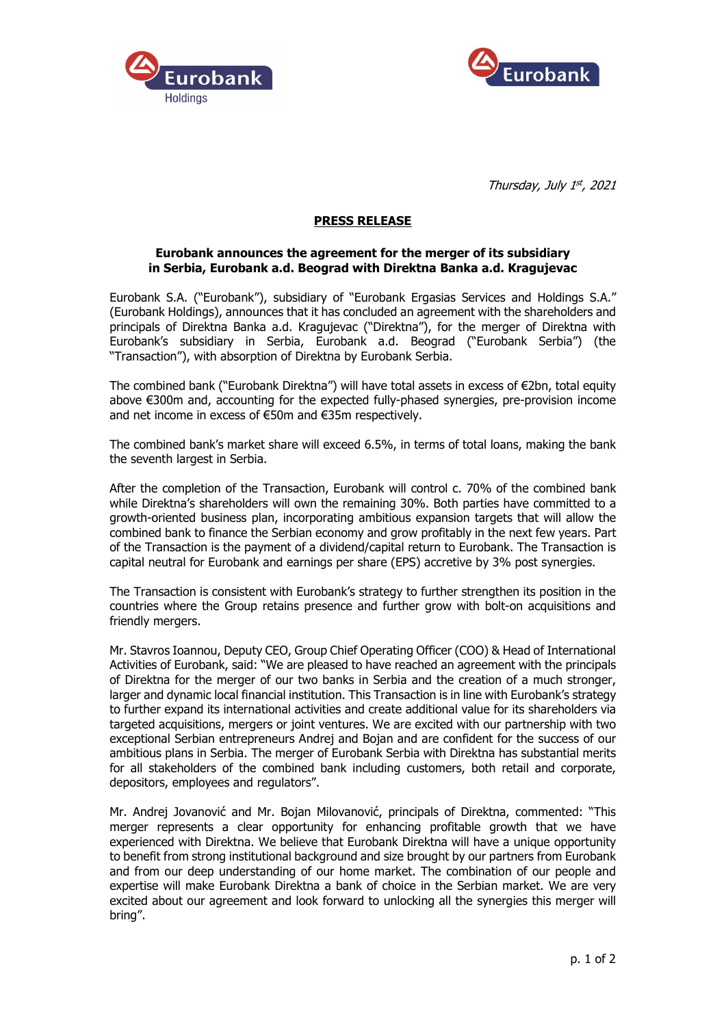



Thursday, July 1st, 2021

## **PRESS RELEASE**

## **Eurobank announces the agreement for the merger of its subsidiary in Serbia, Eurobank a.d. Beograd with Direktna Banka a.d. Kragujevac**

Eurobank S.A. ("Eurobank"), subsidiary of "Eurobank Ergasias Services and Holdings S.A." (Eurobank Holdings), announces that it has concluded an agreement with the shareholders and principals of Direktna Banka a.d. Kragujevac ("Direktna"), for the merger of Direktna with Eurobank's subsidiary in Serbia, Eurobank a.d. Beograd ("Eurobank Serbia") (the "Transaction"), with absorption of Direktna by Eurobank Serbia.

The combined bank ("Eurobank Direktna") will have total assets in excess of €2bn, total equity above €300m and, accounting for the expected fully-phased synergies, pre-provision income and net income in excess of €50m and €35m respectively.

The combined bank's market share will exceed 6.5%, in terms of total loans, making the bank the seventh largest in Serbia.

After the completion of the Transaction, Eurobank will control c. 70% of the combined bank while Direktna's shareholders will own the remaining 30%. Both parties have committed to a growth-oriented business plan, incorporating ambitious expansion targets that will allow the combined bank to finance the Serbian economy and grow profitably in the next few years. Part of the Transaction is the payment of a dividend/capital return to Eurobank. The Transaction is capital neutral for Eurobank and earnings per share (EPS) accretive by 3% post synergies.

The Transaction is consistent with Eurobank's strategy to further strengthen its position in the countries where the Group retains presence and further grow with bolt-on acquisitions and friendly mergers.

Mr. Stavros Ioannou, Deputy CEO, Group Chief Operating Officer (COO) & Head of International Activities of Eurobank, said: "We are pleased to have reached an agreement with the principals of Direktna for the merger of our two banks in Serbia and the creation of a much stronger, larger and dynamic local financial institution. This Transaction is in line with Eurobank's strategy to further expand its international activities and create additional value for its shareholders via targeted acquisitions, mergers or joint ventures. We are excited with our partnership with two exceptional Serbian entrepreneurs Andrej and Bojan and are confident for the success of our ambitious plans in Serbia. The merger of Eurobank Serbia with Direktna has substantial merits for all stakeholders of the combined bank including customers, both retail and corporate, depositors, employees and regulators".

Mr. Andrej Jovanović and Mr. Bojan Milovanović, principals of Direktna, commented: "This merger represents a clear opportunity for enhancing profitable growth that we have experienced with Direktna. We believe that Eurobank Direktna will have a unique opportunity to benefit from strong institutional background and size brought by our partners from Eurobank and from our deep understanding of our home market. The combination of our people and expertise will make Eurobank Direktna a bank of choice in the Serbian market. We are very excited about our agreement and look forward to unlocking all the synergies this merger will bring".